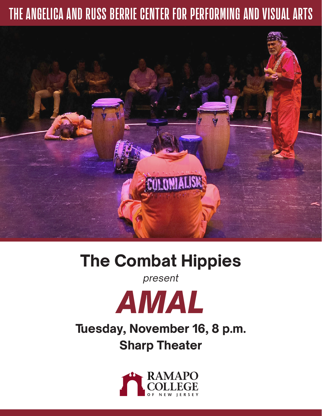# **THE ANGELICA AND RUSS BERRIE CENTER FOR PERFORMING AND VISUAL ARTS**



# **The Combat Hippies**

*present* 



# **Tuesday, November 16, 8 p.m. Sharp Theater**

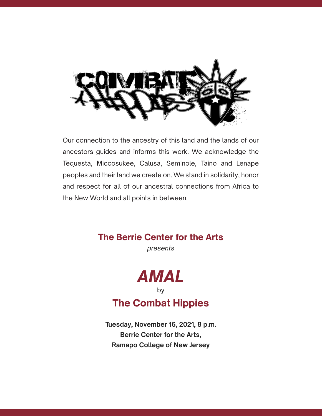

Our connection to the ancestry of this land and the lands of our ancestors guides and informs this work. We acknowledge the Tequesta, Miccosukee, Calusa, Seminole, Taino and Lenape peoples and their land we create on. We stand in solidarity, honor and respect for all of our ancestral connections from Africa to the New World and all points in between.

### **The Berrie Center for the Arts**

*presents*



## **The Combat Hippies**

**Tuesday, November 16, 2021, 8 p.m. Berrie Center for the Arts, Ramapo College of New Jersey**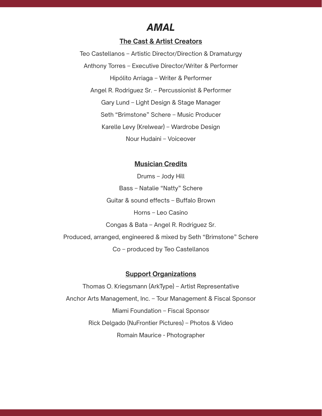### *AMAL*

#### **The Cast & Artist Creators**

Teo Castellanos – Artistic Director/Direction & Dramaturgy Anthony Torres – Executive Director/Writer & Performer Hipólito Arriaga – Writer & Performer Angel R. Rodriguez Sr. – Percussionist & Performer Gary Lund – Light Design & Stage Manager Seth "Brimstone" Schere – Music Producer Karelle Levy (Krelwear) – Wardrobe Design Nour Hudaini – Voiceover

#### **Musician Credits**

Drums – Jody Hill Bass – Natalie "Natty" Schere Guitar & sound effects – Buffalo Brown Horns – Leo Casino Congas & Bata – Angel R. Rodriguez Sr. Produced, arranged, engineered & mixed by Seth "Brimstone" Schere Co – produced by Teo Castellanos

#### **Support Organizations**

Thomas O. Kriegsmann (ArkType) – Artist Representative Anchor Arts Management, Inc. – Tour Management & Fiscal Sponsor Miami Foundation – Fiscal Sponsor Rick Delgado (NuFrontier Pictures) – Photos & Video Romain Maurice - Photographer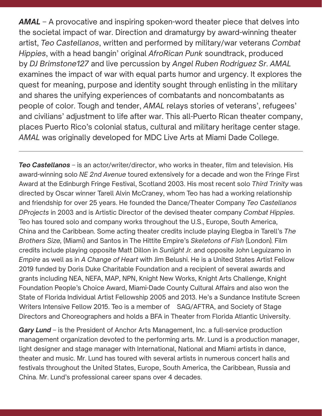*AMAL* – A provocative and inspiring spoken-word theater piece that delves into the societal impact of war. Direction and dramaturgy by award-winning theater artist, *Teo Castellanos*, written and performed by military/war veterans *Combat Hippies*, with a head bangin' original *AfroRican Punk* soundtrack, produced by *DJ Brimstone127* and live percussion by *Angel Ruben Rodriguez Sr*. *AMAL*  examines the impact of war with equal parts humor and urgency. It explores the quest for meaning, purpose and identity sought through enlisting in the military and shares the unifying experiences of combatants and noncombatants as people of color. Tough and tender, *AMAL* relays stories of veterans', refugees' and civilians' adjustment to life after war. This all-Puerto Rican theater company, places Puerto Rico's colonial status, cultural and military heritage center stage. *AMAL* was originally developed for MDC Live Arts at Miami Dade College.

*Teo Castellanos* – is an actor/writer/director, who works in theater, film and television. His award-winning solo *NE 2nd Avenue* toured extensively for a decade and won the Fringe First Award at the Edinburgh Fringe Festival, Scotland 2003. His most recent solo *Third Trinity* was directed by Oscar winner Tarell Alvin McCraney, whom Teo has had a working relationship and friendship for over 25 years. He founded the Dance/Theater Company *Teo Castellanos DProjects* in 2003 and is Artistic Director of the devised theater company *Combat Hippies*. Teo has toured solo and company works throughout the U.S., Europe, South America, China and the Caribbean. Some acting theater credits include playing Elegba in Tarell's *The Brothers Size,* (Miami) and Santos in The Hittite Empire's *Skeletons of Fish* (London)*.* Film credits include playing opposite Matt Dillon in *Sunlight Jr.* and opposite John Leguizamo in *Empire* as well as in *A Change of Heart* with Jim Belushi. He is a United States Artist Fellow 2019 funded by Doris Duke Charitable Foundation and a recipient of several awards and grants including NEA, NEFA, MAP, NPN, Knight New Works, Knight Arts Challenge, Knight Foundation People's Choice Award, Miami-Dade County Cultural Affairs and also won the State of Florida Individual Artist Fellowship 2005 and 2013. He's a Sundance Institute Screen Writers Intensive Fellow 2015. Teo is a member of SAG/AFTRA, and Society of Stage Directors and Choreographers and holds a BFA in Theater from Florida Atlantic University.

*Gary Lund* – is the President of Anchor Arts Management, Inc. a full-service production management organization devoted to the performing arts. Mr. Lund is a production manager, light designer and stage manager with International, National and Miami artists in dance, theater and music. Mr. Lund has toured with several artists in numerous concert halls and festivals throughout the United States, Europe, South America, the Caribbean, Russia and China. Mr. Lund's professional career spans over 4 decades.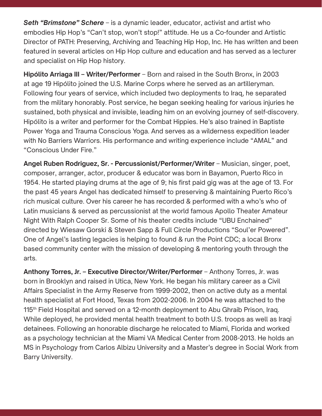*Seth "Brimstone" Schere* – is a dynamic leader, educator, activist and artist who embodies Hip Hop's "Can't stop, won't stop!" attitude. He us a Co-founder and Artistic Director of PATH: Preserving, Archiving and Teaching Hip Hop, Inc. He has written and been featured in several articles on Hip Hop culture and education and has served as a lecturer and specialist on Hip Hop history.

**Hipólito Arriaga III – Writer/Performer** – Born and raised in the South Bronx, in 2003 at age 19 Hipólito joined the U.S. Marine Corps where he served as an artilleryman. Following four years of service, which included two deployments to Iraq, he separated from the military honorably. Post service, he began seeking healing for various injuries he sustained, both physical and invisible, leading him on an evolving journey of self-discovery. Hipólito is a writer and performer for the Combat Hippies. He's also trained in Baptiste Power Yoga and Trauma Conscious Yoga. And serves as a wilderness expedition leader with No Barriers Warriors. His performance and writing experience include "AMAL" and "Conscious Under Fire."

Angel Ruben Rodriguez, Sr. - Percussionist/Performer/Writer – Musician, singer, poet, composer, arranger, actor, producer & educator was born in Bayamon, Puerto Rico in 1954. He started playing drums at the age of 9; his first paid gig was at the age of 13. For the past 45 years Angel has dedicated himself to preserving & maintaining Puerto Rico's rich musical culture. Over his career he has recorded & performed with a who's who of Latin musicians & served as percussionist at the world famous Apollo Theater Amateur Night With Ralph Cooper Sr. Some of his theater credits include "UBU Enchained" directed by Wiesaw Gorski & Steven Sapp & Full Circle Productions "Soul'er Powered". One of Angel's lasting legacies is helping to found & run the Point CDC; a local Bronx based community center with the mission of developing & mentoring youth through the arts.

**Anthony Torres, Jr. – Executive Director/Writer/Performer – Anthony Torres, Jr. was** born in Brooklyn and raised in Utica, New York. He began his military career as a Civil Affairs Specialist in the Army Reserve from 1999-2002, then on active duty as a mental health specialist at Fort Hood, Texas from 2002-2006. In 2004 he was attached to the 115<sup>th</sup> Field Hospital and served on a 12-month deployment to Abu Ghraib Prison, Iraq. While deployed, he provided mental health treatment to both U.S. troops as well as Iraqi detainees. Following an honorable discharge he relocated to Miami, Florida and worked as a psychology technician at the Miami VA Medical Center from 2008-2013. He holds an MS in Psychology from Carlos Albizu University and a Master's degree in Social Work from Barry University.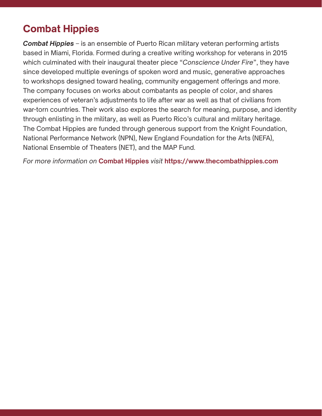### **Combat Hippies**

*Combat Hippies* – is an ensemble of Puerto Rican military veteran performing artists based in Miami, Florida. Formed during a creative writing workshop for veterans in 2015 which culminated with their inaugural theater piece "*Conscience Under Fire*", they have since developed multiple evenings of spoken word and music, generative approaches to workshops designed toward healing, community engagement offerings and more. The company focuses on works about combatants as people of color, and shares experiences of veteran's adjustments to life after war as well as that of civilians from war-torn countries. Their work also explores the search for meaning, purpose, and identity through enlisting in the military, as well as Puerto Rico's cultural and military heritage. The Combat Hippies are funded through generous support from the Knight Foundation, National Performance Network (NPN), New England Foundation for the Arts (NEFA), National Ensemble of Theaters (NET), and the MAP Fund.

*For more information on* **Combat Hippies** *visit* **https://www.thecombathippies.com**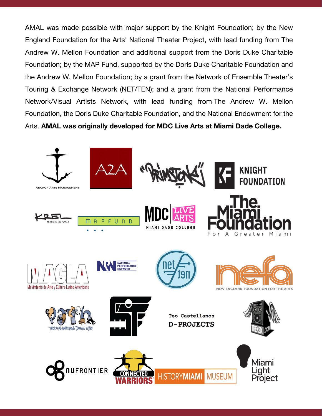AMAL was made possible with major support by the Knight Foundation; by the New AMAL was made possible with major support by the Knight Foundation; by the New England Foundation for the Arts' National Theater Project, with lead funding from The England Foundation for the Arts' National Theater Project, with lead funding from The Andrew W. Mellon Foundation and additional support from the Doris Duke Charitable Andrew W. Mellon Foundation and additional support from the Doris Duke Charitable Foundation; by the MAP Fund, supported by the Doris Duke Charitable Foundation and Foundation; by the MAP Fund, supported by the Doris Duke Charitable Foundation and the Andrew W. Mellon Foundation; by a grant from the Network of Ensemble Theater's the Andrew W. Mellon Foundation; by a grant from the Network of Ensemble Theater's Touring & Exchange Network (NET/TEN); and a grant from the National Performance Touring & Exchange Network (NET/TEN); and a grant from the National Performance Network/Visual Artists Network, with lead funding from The Andrew W. Mellon Network/Visual Artists Network, with lead funding from The Andrew W. Mellon Foundation, the Doris Duke Charitable Foundation, and the National Endowment for the Foundation, the Doris Duke Charitable Foundation, and the National Endowment for the Arts. **AMAL was originally developed for MDC Live Arts at Miami Dade College.** Arts. **AMAL was originally developed for MDC Live Arts at Miami Dade College.**